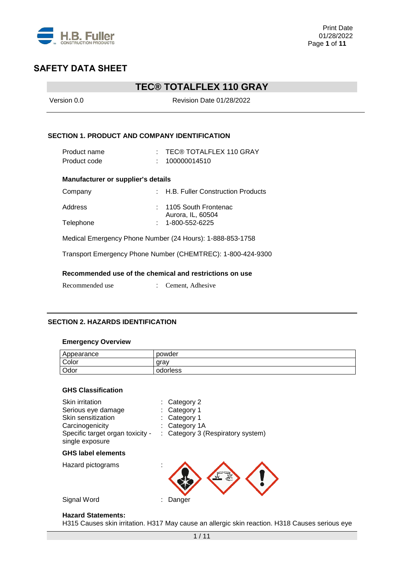

## **TEC® TOTALFLEX 110 GRAY**

| Version 0.0                                          | <b>Revision Date 01/28/2022</b>                             |
|------------------------------------------------------|-------------------------------------------------------------|
| <b>SECTION 1. PRODUCT AND COMPANY IDENTIFICATION</b> |                                                             |
| Product name                                         | $\pm$ TEC® TOTALFLEX 110 GRAY                               |
| Product code                                         | 100000014510                                                |
| Manufacturer or supplier's details                   |                                                             |
| Company                                              | : H.B. Fuller Construction Products                         |
| Address                                              | : 1105 South Frontenac                                      |
| Telephone                                            | Aurora, IL, 60504<br>1-800-552-6225                         |
|                                                      | Medical Emergency Phone Number (24 Hours): 1-888-853-1758   |
|                                                      | Transport Emergency Phone Number (CHEMTREC): 1-800-424-9300 |
|                                                      | Recommended use of the chemical and restrictions on use     |
| Recommended use                                      | Cement, Adhesive                                            |

### **SECTION 2. HAZARDS IDENTIFICATION**

#### **Emergency Overview**

| Appearance | powder   |
|------------|----------|
| Color      | arav     |
| Odor       | odorless |

#### **GHS Classification**

| Skin irritation<br>Serious eye damage<br>Skin sensitization<br>Carcinogenicity |   | Category 2<br>Category 1<br>Category 1<br>Category 1A |
|--------------------------------------------------------------------------------|---|-------------------------------------------------------|
| Specific target organ toxicity -<br>single exposure                            |   | Category 3 (Respiratory system)                       |
| <b>GHS label elements</b>                                                      |   |                                                       |
| Hazard pictograms                                                              | × |                                                       |

Signal Word : Danger

## **Hazard Statements:**

H315 Causes skin irritation. H317 May cause an allergic skin reaction. H318 Causes serious eye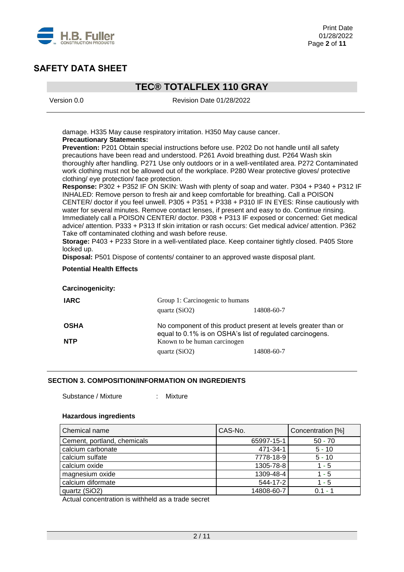

## **TEC® TOTALFLEX 110 GRAY**

Version 0.0 Revision Date 01/28/2022

damage. H335 May cause respiratory irritation. H350 May cause cancer. **Precautionary Statements:** 

**Prevention:** P201 Obtain special instructions before use. P202 Do not handle until all safety precautions have been read and understood. P261 Avoid breathing dust. P264 Wash skin thoroughly after handling. P271 Use only outdoors or in a well-ventilated area. P272 Contaminated work clothing must not be allowed out of the workplace. P280 Wear protective gloves/ protective clothing/ eye protection/ face protection.

**Response:** P302 + P352 IF ON SKIN: Wash with plenty of soap and water. P304 + P340 + P312 IF INHALED: Remove person to fresh air and keep comfortable for breathing. Call a POISON CENTER/ doctor if you feel unwell. P305 + P351 + P338 + P310 IF IN EYES: Rinse cautiously with water for several minutes. Remove contact lenses, if present and easy to do. Continue rinsing. Immediately call a POISON CENTER/ doctor. P308 + P313 IF exposed or concerned: Get medical advice/ attention. P333 + P313 If skin irritation or rash occurs: Get medical advice/ attention. P362 Take off contaminated clothing and wash before reuse.

**Storage:** P403 + P233 Store in a well-ventilated place. Keep container tightly closed. P405 Store locked up.

**Disposal:** P501 Dispose of contents/ container to an approved waste disposal plant.

### **Potential Health Effects**

**Carcinogenicity:**

| <b>IARC</b> | Group 1: Carcinogenic to humans<br>quartz $(SiO2)$                                                                          | 14808-60-7 |  |  |
|-------------|-----------------------------------------------------------------------------------------------------------------------------|------------|--|--|
| <b>OSHA</b> | No component of this product present at levels greater than or<br>equal to 0.1% is on OSHA's list of regulated carcinogens. |            |  |  |
| <b>NTP</b>  | Known to be human carcinogen<br>quartz $(SiO2)$                                                                             | 14808-60-7 |  |  |

### **SECTION 3. COMPOSITION/INFORMATION ON INGREDIENTS**

Substance / Mixture : Mixture

#### **Hazardous ingredients**

| Chemical name               | CAS-No.    | Concentration [%] |
|-----------------------------|------------|-------------------|
| Cement, portland, chemicals | 65997-15-1 | $50 - 70$         |
| calcium carbonate           | 471-34-1   | $5 - 10$          |
| calcium sulfate             | 7778-18-9  | $5 - 10$          |
| calcium oxide               | 1305-78-8  | 1 - 5             |
| magnesium oxide             | 1309-48-4  | $1 - 5$           |
| calcium diformate           | 544-17-2   | $1 - 5$           |
| quartz (SiO2)               | 14808-60-7 | $01 - 1$          |

Actual concentration is withheld as a trade secret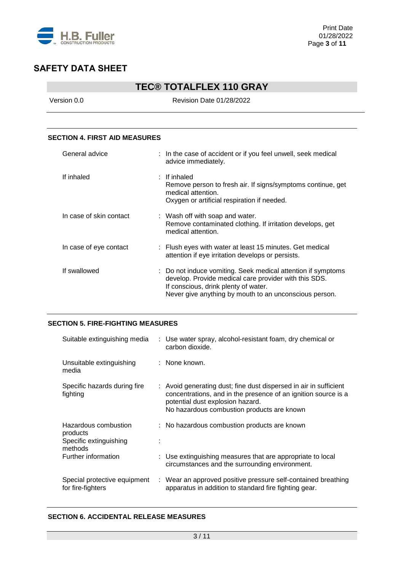

## **TEC® TOTALFLEX 110 GRAY**

Version 0.0 Revision Date 01/28/2022

### **SECTION 4. FIRST AID MEASURES**

| General advice          | : In the case of accident or if you feel unwell, seek medical<br>advice immediately.                                                                                                                                    |  |
|-------------------------|-------------------------------------------------------------------------------------------------------------------------------------------------------------------------------------------------------------------------|--|
| If inhaled              | $\pm$ If inhaled<br>Remove person to fresh air. If signs/symptoms continue, get<br>medical attention.<br>Oxygen or artificial respiration if needed.                                                                    |  |
| In case of skin contact | : Wash off with soap and water.<br>Remove contaminated clothing. If irritation develops, get<br>medical attention.                                                                                                      |  |
| In case of eye contact  | : Flush eyes with water at least 15 minutes. Get medical<br>attention if eye irritation develops or persists.                                                                                                           |  |
| If swallowed            | : Do not induce vomiting. Seek medical attention if symptoms<br>develop. Provide medical care provider with this SDS.<br>If conscious, drink plenty of water.<br>Never give anything by mouth to an unconscious person. |  |

## **SECTION 5. FIRE-FIGHTING MEASURES**

| Suitable extinguishing media                                          | : Use water spray, alcohol-resistant foam, dry chemical or<br>carbon dioxide.                                                                                                                                         |
|-----------------------------------------------------------------------|-----------------------------------------------------------------------------------------------------------------------------------------------------------------------------------------------------------------------|
| Unsuitable extinguishing<br>media                                     | : None known.                                                                                                                                                                                                         |
| Specific hazards during fire<br>fighting                              | : Avoid generating dust; fine dust dispersed in air in sufficient<br>concentrations, and in the presence of an ignition source is a<br>potential dust explosion hazard.<br>No hazardous combustion products are known |
| Hazardous combustion<br>products<br>Specific extinguishing<br>methods | : No hazardous combustion products are known                                                                                                                                                                          |
| Further information                                                   | : Use extinguishing measures that are appropriate to local<br>circumstances and the surrounding environment.                                                                                                          |
| Special protective equipment<br>for fire-fighters                     | : Wear an approved positive pressure self-contained breathing<br>apparatus in addition to standard fire fighting gear.                                                                                                |

### **SECTION 6. ACCIDENTAL RELEASE MEASURES**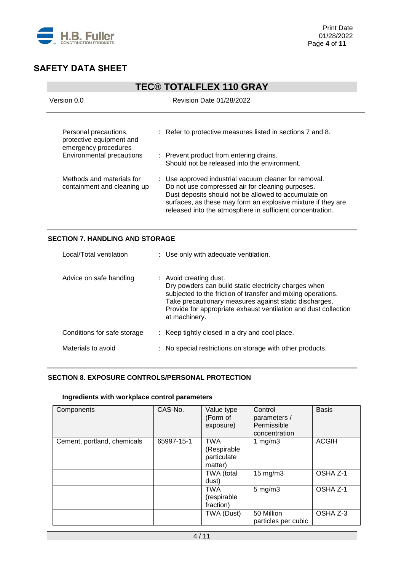

| <b>TEC® TOTALFLEX 110 GRAY</b>                                                                         |                                                                                                                                                                                                                                                                                                |  |  |
|--------------------------------------------------------------------------------------------------------|------------------------------------------------------------------------------------------------------------------------------------------------------------------------------------------------------------------------------------------------------------------------------------------------|--|--|
| Version 0.0                                                                                            | <b>Revision Date 01/28/2022</b>                                                                                                                                                                                                                                                                |  |  |
| Personal precautions,<br>protective equipment and<br>emergency procedures<br>Environmental precautions | : Refer to protective measures listed in sections 7 and 8.<br>: Prevent product from entering drains.<br>Should not be released into the environment.                                                                                                                                          |  |  |
| Methods and materials for<br>containment and cleaning up                                               | : Use approved industrial vacuum cleaner for removal.<br>Do not use compressed air for cleaning purposes.<br>Dust deposits should not be allowed to accumulate on<br>surfaces, as these may form an explosive mixture if they are<br>released into the atmosphere in sufficient concentration. |  |  |

## **SECTION 7. HANDLING AND STORAGE**

| Local/Total ventilation     | : Use only with adequate ventilation.                                                                                                                                                                                                                                                         |
|-----------------------------|-----------------------------------------------------------------------------------------------------------------------------------------------------------------------------------------------------------------------------------------------------------------------------------------------|
| Advice on safe handling     | : Avoid creating dust.<br>Dry powders can build static electricity charges when<br>subjected to the friction of transfer and mixing operations.<br>Take precautionary measures against static discharges.<br>Provide for appropriate exhaust ventilation and dust collection<br>at machinery. |
| Conditions for safe storage | : Keep tightly closed in a dry and cool place.                                                                                                                                                                                                                                                |
| Materials to avoid          | : No special restrictions on storage with other products.                                                                                                                                                                                                                                     |

## **SECTION 8. EXPOSURE CONTROLS/PERSONAL PROTECTION**

#### **Ingredients with workplace control parameters**

| Components                  | CAS-No.    | Value type<br>(Form of<br>exposure)                 | Control<br>parameters /<br>Permissible<br>concentration | <b>Basis</b> |
|-----------------------------|------------|-----------------------------------------------------|---------------------------------------------------------|--------------|
| Cement, portland, chemicals | 65997-15-1 | <b>TWA</b><br>(Respirable<br>particulate<br>matter) | 1 $mg/m3$                                               | <b>ACGIH</b> |
|                             |            | TWA (total<br>dust)                                 | $15 \text{ mg/m}$ 3                                     | OSHA Z-1     |
|                             |            | <b>TWA</b><br>(respirable<br>fraction)              | $5$ mg/m $3$                                            | OSHA Z-1     |
|                             |            | TWA (Dust)                                          | 50 Million<br>particles per cubic                       | OSHA Z-3     |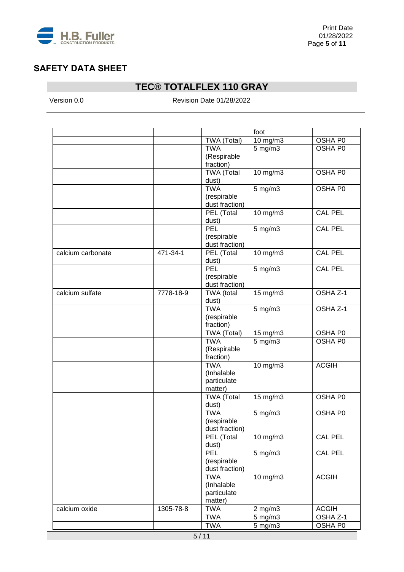

# **TEC® TOTALFLEX 110 GRAY**

Version 0.0 Revision Date 01/28/2022

|                   |           |                   | foot                                |                     |
|-------------------|-----------|-------------------|-------------------------------------|---------------------|
|                   |           | TWA (Total)       | 10 $mg/m3$                          | OSHA P0             |
|                   |           | <b>TWA</b>        | $5$ mg/m $3$                        | OSHA P0             |
|                   |           | (Respirable       |                                     |                     |
|                   |           | fraction)         |                                     |                     |
|                   |           | <b>TWA (Total</b> | 10 mg/m3                            | OSHA P0             |
|                   |           | dust)             |                                     |                     |
|                   |           | <b>TWA</b>        | $5$ mg/m $3$                        | OSHA P0             |
|                   |           | (respirable       |                                     |                     |
|                   |           | dust fraction)    |                                     |                     |
|                   |           | PEL (Total        | $10$ mg/m $3$                       | <b>CAL PEL</b>      |
|                   |           | dust)             |                                     |                     |
|                   |           | PEL               | $5$ mg/m $3$                        | <b>CAL PEL</b>      |
|                   |           | (respirable       |                                     |                     |
|                   |           | dust fraction)    |                                     |                     |
| calcium carbonate | 471-34-1  | PEL (Total        | 10 mg/m3                            | <b>CAL PEL</b>      |
|                   |           | dust)             |                                     |                     |
|                   |           | PEL               | $5$ mg/m $3$                        | <b>CAL PEL</b>      |
|                   |           | (respirable       |                                     |                     |
|                   |           | dust fraction)    |                                     |                     |
| calcium sulfate   | 7778-18-9 | TWA (total        | $15 \text{ mg/m}$                   | OSHA Z-1            |
|                   |           | dust)             |                                     |                     |
|                   |           | <b>TWA</b>        | $5$ mg/m $3$                        | OSHA Z-1            |
|                   |           | (respirable       |                                     |                     |
|                   |           | fraction)         |                                     |                     |
|                   |           | TWA (Total)       | 15 mg/m3                            | OSHA P0             |
|                   |           | <b>TWA</b>        | $5 \text{ mg/m}$                    | OSHA P0             |
|                   |           | (Respirable       |                                     |                     |
|                   |           | fraction)         |                                     |                     |
|                   |           | <b>TWA</b>        | 10 mg/m3                            | <b>ACGIH</b>        |
|                   |           | (Inhalable        |                                     |                     |
|                   |           | particulate       |                                     |                     |
|                   |           | matter)           |                                     |                     |
|                   |           | <b>TWA (Total</b> | 15 mg/m3                            | OSHA P0             |
|                   |           | dust)             |                                     |                     |
|                   |           | <b>TWA</b>        | $5$ mg/m $3$                        | <b>OSHA P0</b>      |
|                   |           | (respirable       |                                     |                     |
|                   |           | dust fraction)    |                                     |                     |
|                   |           | PEL (Total        | $10$ mg/m $3$                       | <b>CAL PEL</b>      |
|                   |           | dust)             |                                     |                     |
|                   |           | <b>PEL</b>        | $5$ mg/m $3$                        | <b>CAL PEL</b>      |
|                   |           | (respirable       |                                     |                     |
|                   |           | dust fraction)    |                                     |                     |
|                   |           | <b>TWA</b>        | $10 \overline{\text{mg}}/\text{m}3$ | <b>ACGIH</b>        |
|                   |           | (Inhalable        |                                     |                     |
|                   |           | particulate       |                                     |                     |
|                   |           | matter)           |                                     |                     |
| calcium oxide     | 1305-78-8 | <b>TWA</b>        | $2$ mg/m $3$                        | <b>ACGIH</b>        |
|                   |           | <b>TWA</b>        | $5$ mg/m $3$                        | OSHA <sub>Z-1</sub> |
|                   |           | <b>TWA</b>        | 5 mg/m3                             | OSHA P0             |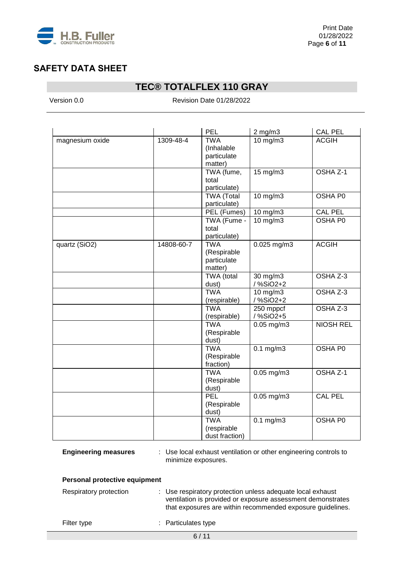

## **TEC® TOTALFLEX 110 GRAY**

Version 0.0 **Revision Date 01/28/2022** 

|                 |            | <b>PEL</b>                                          | $2$ mg/m $3$               | <b>CAL PEL</b>   |
|-----------------|------------|-----------------------------------------------------|----------------------------|------------------|
| magnesium oxide | 1309-48-4  | <b>TWA</b><br>(Inhalable<br>particulate<br>matter)  | $10$ mg/m $3$              | <b>ACGIH</b>     |
|                 |            | TWA (fume,<br>total<br>particulate)                 | 15 mg/m3                   | OSHA Z-1         |
|                 |            | <b>TWA (Total</b><br>particulate)                   | $10$ mg/m $3$              | <b>OSHA PO</b>   |
|                 |            | PEL (Fumes)                                         | 10 $mg/m3$                 | <b>CAL PEL</b>   |
|                 |            | TWA (Fume -<br>total<br>particulate)                | $10$ mg/m $3$              | <b>OSHA P0</b>   |
| quartz (SiO2)   | 14808-60-7 | <b>TWA</b><br>(Respirable<br>particulate<br>matter) | $0.025$ mg/m $3$           | <b>ACGIH</b>     |
|                 |            | TWA (total<br>dust)                                 | 30 mg/m3<br>/%SiO2+2       | OSHA Z-3         |
|                 |            | <b>TWA</b><br>(respirable)                          | $10$ mg/m $3$<br>/ %SiO2+2 | OSHA Z-3         |
|                 |            | <b>TWA</b><br>(respirable)                          | 250 mppcf<br>/ %SiO2+5     | OSHA Z-3         |
|                 |            | <b>TWA</b><br>(Respirable<br>dust)                  | $0.05$ mg/m3               | <b>NIOSH REL</b> |
|                 |            | <b>TWA</b><br>(Respirable<br>fraction)              | $0.1 \text{ mg/m}$         | <b>OSHA P0</b>   |
|                 |            | <b>TWA</b><br>(Respirable<br>dust)                  | $0.05$ mg/m3               | OSHA Z-1         |
|                 |            | <b>PEL</b><br>(Respirable<br>dust)                  | $0.05$ mg/m3               | <b>CAL PEL</b>   |
|                 |            | <b>TWA</b><br>(respirable<br>dust fraction)         | $0.1 \text{ mg/m}$         | <b>OSHA P0</b>   |

**Engineering measures** : Use local exhaust ventilation or other engineering controls to minimize exposures.

|  | <b>Personal protective equipment</b> |  |  |
|--|--------------------------------------|--|--|
|--|--------------------------------------|--|--|

| Respiratory protection | : Use respiratory protection unless adequate local exhaust<br>ventilation is provided or exposure assessment demonstrates<br>that exposures are within recommended exposure guidelines. |
|------------------------|-----------------------------------------------------------------------------------------------------------------------------------------------------------------------------------------|
| Filter type            | : Particulates type                                                                                                                                                                     |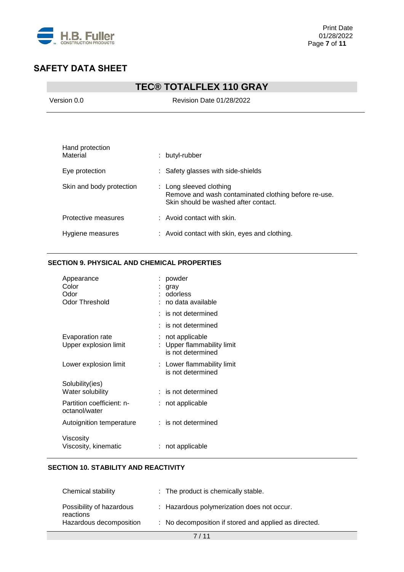

# **TEC® TOTALFLEX 110 GRAY**

Version 0.0 Revision Date 01/28/2022

| Hand protection<br>Material | butyl-rubber<br>t.                                                                                                      |
|-----------------------------|-------------------------------------------------------------------------------------------------------------------------|
| Eye protection              | : Safety glasses with side-shields                                                                                      |
| Skin and body protection    | : Long sleeved clothing<br>Remove and wash contaminated clothing before re-use.<br>Skin should be washed after contact. |
| Protective measures         | $:$ Avoid contact with skin.                                                                                            |
| Hygiene measures            | : Avoid contact with skin, eyes and clothing.                                                                           |

### **SECTION 9. PHYSICAL AND CHEMICAL PROPERTIES**

| Appearance<br>Color<br>Odor<br>Odor Threshold | powder<br>gray<br>odorless<br>: no data available               |
|-----------------------------------------------|-----------------------------------------------------------------|
|                                               | $:$ is not determined                                           |
|                                               | $:$ is not determined                                           |
| Evaporation rate<br>Upper explosion limit     | not applicable<br>Upper flammability limit<br>is not determined |
| Lower explosion limit                         | : Lower flammability limit<br>is not determined                 |
| Solubility(ies)                               |                                                                 |
| Water solubility                              | $:$ is not determined                                           |
| Partition coefficient: n-<br>octanol/water    | not applicable                                                  |
| Autoignition temperature                      | : is not determined                                             |
| Viscosity<br>Viscosity, kinematic             | not applicable                                                  |

## **SECTION 10. STABILITY AND REACTIVITY**

| Chemical stability                    | : The product is chemically stable.                   |
|---------------------------------------|-------------------------------------------------------|
| Possibility of hazardous<br>reactions | : Hazardous polymerization does not occur.            |
| Hazardous decomposition               | : No decomposition if stored and applied as directed. |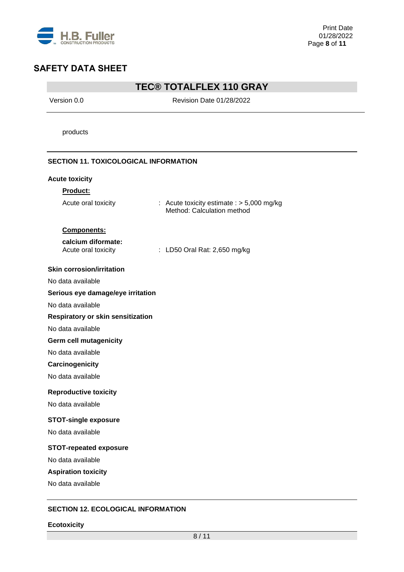

## **TEC® TOTALFLEX 110 GRAY**

Version 0.0 Revision Date 01/28/2022

products

### **SECTION 11. TOXICOLOGICAL INFORMATION**

| <b>Acute toxicity</b>                     |                                                                           |
|-------------------------------------------|---------------------------------------------------------------------------|
| <b>Product:</b>                           |                                                                           |
| Acute oral toxicity                       | : Acute toxicity estimate $:$ > 5,000 mg/kg<br>Method: Calculation method |
| Components:                               |                                                                           |
| calcium diformate:<br>Acute oral toxicity | : LD50 Oral Rat: 2,650 mg/kg                                              |
| <b>Skin corrosion/irritation</b>          |                                                                           |
| No data available                         |                                                                           |
| Serious eye damage/eye irritation         |                                                                           |
| No data available                         |                                                                           |
| Respiratory or skin sensitization         |                                                                           |
| No data available                         |                                                                           |
| <b>Germ cell mutagenicity</b>             |                                                                           |
| No data available                         |                                                                           |
| Carcinogenicity                           |                                                                           |
| No data available                         |                                                                           |
| <b>Reproductive toxicity</b>              |                                                                           |
| No data available                         |                                                                           |
| <b>STOT-single exposure</b>               |                                                                           |
| No data available                         |                                                                           |
| <b>STOT-repeated exposure</b>             |                                                                           |
| No data available                         |                                                                           |
| <b>Aspiration toxicity</b>                |                                                                           |
| No data available                         |                                                                           |
|                                           |                                                                           |

## **SECTION 12. ECOLOGICAL INFORMATION**

#### **Ecotoxicity**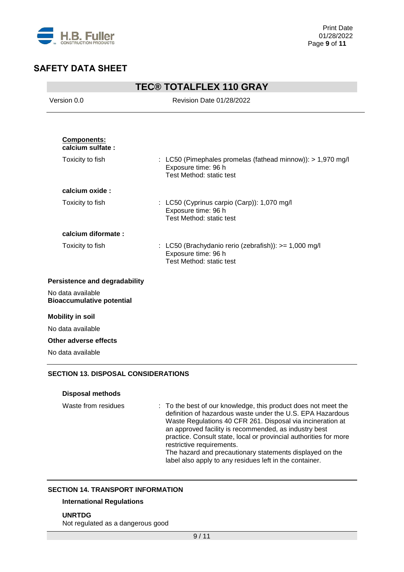

| <b>TEC® TOTALFLEX 110 GRAY</b>                        |                                                                                                                |  |
|-------------------------------------------------------|----------------------------------------------------------------------------------------------------------------|--|
| Version 0.0                                           | <b>Revision Date 01/28/2022</b>                                                                                |  |
|                                                       |                                                                                                                |  |
| Components:<br>calcium sulfate:                       |                                                                                                                |  |
| Toxicity to fish                                      | : LC50 (Pimephales promelas (fathead minnow)): > 1,970 mg/l<br>Exposure time: 96 h<br>Test Method: static test |  |
| calcium oxide:                                        |                                                                                                                |  |
| Toxicity to fish                                      | : LC50 (Cyprinus carpio (Carp)): 1,070 mg/l<br>Exposure time: 96 h<br>Test Method: static test                 |  |
| calcium diformate:                                    |                                                                                                                |  |
| Toxicity to fish                                      | : LC50 (Brachydanio rerio (zebrafish)): >= 1,000 mg/l<br>Exposure time: 96 h<br>Test Method: static test       |  |
| <b>Persistence and degradability</b>                  |                                                                                                                |  |
| No data available<br><b>Bioaccumulative potential</b> |                                                                                                                |  |
| <b>Mobility in soil</b>                               |                                                                                                                |  |
| No data available                                     |                                                                                                                |  |
| Other adverse effects                                 |                                                                                                                |  |
|                                                       |                                                                                                                |  |

## **Disposal methods**

| Waste from residues | : To the best of our knowledge, this product does not meet the<br>definition of hazardous waste under the U.S. EPA Hazardous<br>Waste Regulations 40 CFR 261. Disposal via incineration at |
|---------------------|--------------------------------------------------------------------------------------------------------------------------------------------------------------------------------------------|
|                     | an approved facility is recommended, as industry best                                                                                                                                      |
|                     | practice. Consult state, local or provincial authorities for more                                                                                                                          |
|                     | restrictive requirements.                                                                                                                                                                  |
|                     | The hazard and precautionary statements displayed on the                                                                                                                                   |
|                     | label also apply to any residues left in the container.                                                                                                                                    |

### **SECTION 14. TRANSPORT INFORMATION**

## **International Regulations**

**UNRTDG**

Not regulated as a dangerous good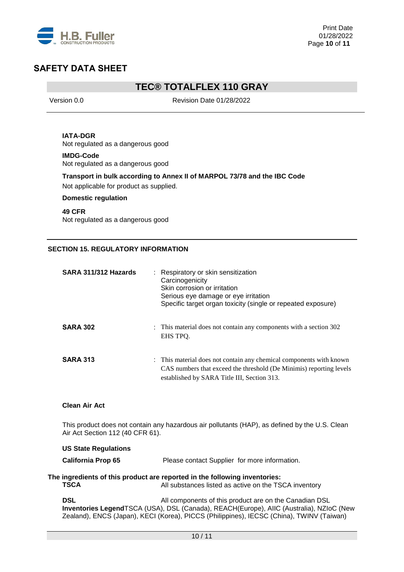

## **TEC® TOTALFLEX 110 GRAY**

Version 0.0 Revision Date 01/28/2022

### **IATA-DGR**

Not regulated as a dangerous good

## **IMDG-Code**

Not regulated as a dangerous good

### **Transport in bulk according to Annex II of MARPOL 73/78 and the IBC Code**

Not applicable for product as supplied.

### **Domestic regulation**

**49 CFR** Not regulated as a dangerous good

### **SECTION 15. REGULATORY INFORMATION**

| SARA 311/312 Hazards | : Respiratory or skin sensitization<br>Carcinogenicity<br>Skin corrosion or irritation<br>Serious eye damage or eye irritation<br>Specific target organ toxicity (single or repeated exposure) |  |
|----------------------|------------------------------------------------------------------------------------------------------------------------------------------------------------------------------------------------|--|
| <b>SARA 302</b>      | : This material does not contain any components with a section 302<br>EHS TPO.                                                                                                                 |  |
| <b>SARA 313</b>      | : This material does not contain any chemical components with known<br>CAS numbers that exceed the threshold (De Minimis) reporting levels<br>established by SARA Title III, Section 313.      |  |

### **Clean Air Act**

This product does not contain any hazardous air pollutants (HAP), as defined by the U.S. Clean Air Act Section 112 (40 CFR 61).

#### **US State Regulations**

**California Prop 65** Please contact Supplier for more information.

#### **The ingredients of this product are reported in the following inventories:<br>TSCA** All substances listed as active on the TS **TSCA** All substances listed as active on the TSCA inventory

**DSL DSL All components of this product are on the Canadian DSL Inventories Legend**TSCA (USA), DSL (Canada), REACH(Europe), AIIC (Australia), NZIoC (New Zealand), ENCS (Japan), KECI (Korea), PICCS (Philippines), IECSC (China), TWINV (Taiwan)